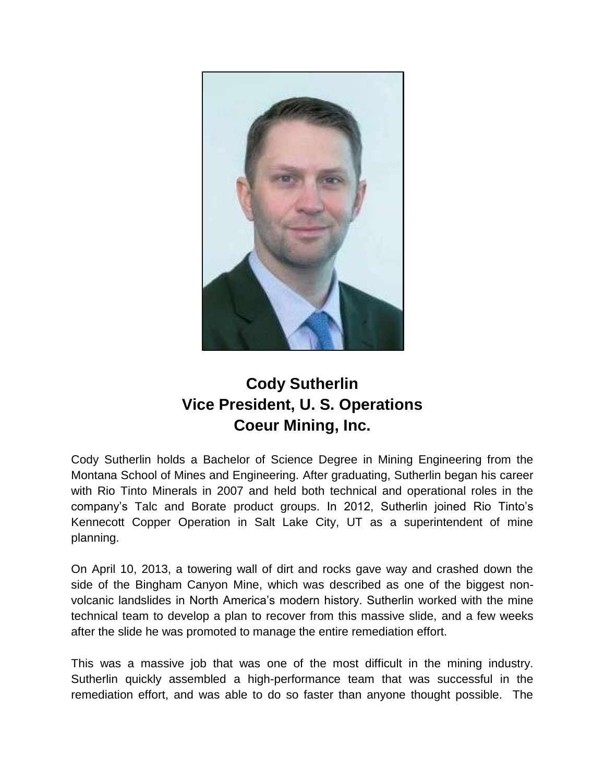

## **Cody Sutherlin Vice President, U. S. Operations Coeur Mining, Inc.**

Cody Sutherlin holds a Bachelor of Science Degree in Mining Engineering from the Montana School of Mines and Engineering. After graduating, Sutherlin began his career with Rio Tinto Minerals in 2007 and held both technical and operational roles in the company's Talc and Borate product groups. In 2012, Sutherlin joined Rio Tinto's Kennecott Copper Operation in Salt Lake City, UT as a superintendent of mine planning.

On April 10, 2013, a towering wall of dirt and rocks gave way and crashed down the side of the Bingham Canyon Mine, which was described as one of the biggest nonvolcanic landslides in North America's modern history. Sutherlin worked with the mine technical team to develop a plan to recover from this massive slide, and a few weeks after the slide he was promoted to manage the entire remediation effort.

This was a massive job that was one of the most difficult in the mining industry. Sutherlin quickly assembled a high-performance team that was successful in the remediation effort, and was able to do so faster than anyone thought possible. The